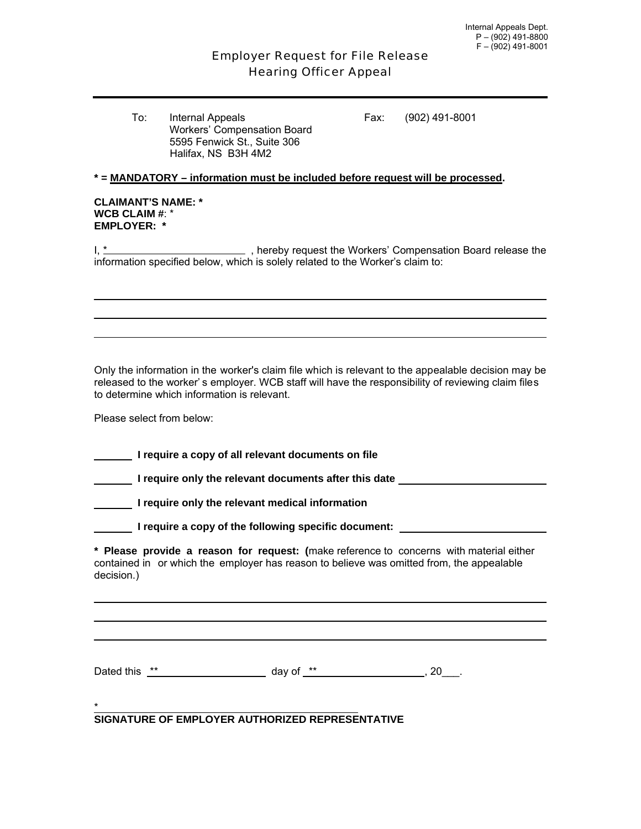# Employer Request for File Release Hearing Officer Appeal

To: Internal Appeals Fax: (902) 491-8001 Workers' Compensation Board 5595 Fenwick St., Suite 306 Halifax, NS B3H 4M2

# **\* = MANDATORY – information must be included before request will be processed.**

#### **CLAIMANT'S NAME: \* WCB CLAIM #**: \* **EMPLOYER: \***

I,  $*$  , hereby request the Workers' Compensation Board release the information specified below, which is solely related to the Worker's claim to:

Only the information in the worker's claim file which is relevant to the appealable decision may be released to the worker' s employer. WCB staff will have the responsibility of reviewing claim files to determine which information is relevant.

Please select from below:

**I require a copy of all relevant documents on file** 

 **I require only the relevant documents after this date** 

 **I require only the relevant medical information** 

**I require a copy of the following specific document:** *I LETERALERY DETERALERY DETERALERY DETERALERY DETERALERY* 

**\* Please provide a reason for request: (**make reference to concerns with material either contained in or which the employer has reason to believe was omitted from, the appealable decision.)

Dated this  $**$  day of  $**$  ,  $20$ .

#### \* **SIGNATURE OF EMPLOYER AUTHORIZED REPRESENTATIVE**